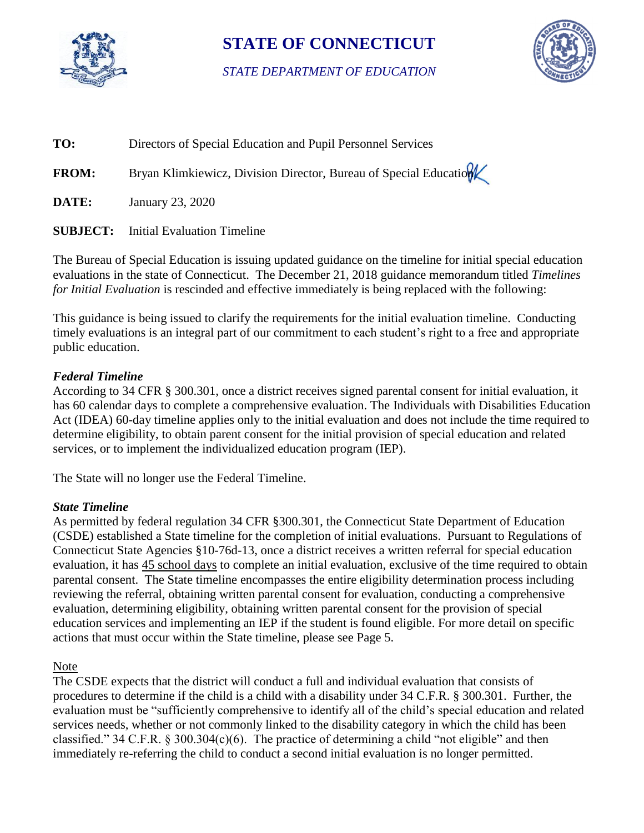

# **STATE OF CONNECTICUT**

*STATE DEPARTMENT OF EDUCATION* 



| TO:          | Directors of Special Education and Pupil Personnel Services       |
|--------------|-------------------------------------------------------------------|
| <b>FROM:</b> | Bryan Klimkiewicz, Division Director, Bureau of Special Education |
| DATE:        | January 23, 2020                                                  |
|              | <b>SUBJECT:</b> Initial Evaluation Timeline                       |

The Bureau of Special Education is issuing updated guidance on the timeline for initial special education evaluations in the state of Connecticut. The December 21, 2018 guidance memorandum titled *Timelines for Initial Evaluation* is rescinded and effective immediately is being replaced with the following:

This guidance is being issued to clarify the requirements for the initial evaluation timeline. Conducting timely evaluations is an integral part of our commitment to each student's right to a free and appropriate public education.

# *Federal Timeline*

According to 34 CFR § 300.301, once a district receives signed parental consent for initial evaluation, it has 60 calendar days to complete a comprehensive evaluation. The Individuals with Disabilities Education Act (IDEA) 60-day timeline applies only to the initial evaluation and does not include the time required to determine eligibility, to obtain parent consent for the initial provision of special education and related services, or to implement the individualized education program (IEP).

The State will no longer use the Federal Timeline.

#### *State Timeline*

 (CSDE) established a State timeline for the completion of initial evaluations. Pursuant to Regulations of As permitted by federal regulation 34 CFR §300.301, the Connecticut State Department of Education Connecticut State Agencies §10-76d-13, once a district receives a written referral for special education evaluation, it has 45 school days to complete an initial evaluation, exclusive of the time required to obtain parental consent. The State timeline encompasses the entire eligibility determination process including reviewing the referral, obtaining written parental consent for evaluation, conducting a comprehensive evaluation, determining eligibility, obtaining written parental consent for the provision of special education services and implementing an IEP if the student is found eligible. For more detail on specific actions that must occur within the State timeline, please see Page 5.

# Note

 classified." 34 C.F.R. § 300.304(c)(6). The practice of determining a child "not eligible" and then The CSDE expects that the district will conduct a full and individual evaluation that consists of procedures to determine if the child is a child with a disability under 34 C.F.R. § 300.301. Further, the evaluation must be "sufficiently comprehensive to identify all of the child's special education and related services needs, whether or not commonly linked to the disability category in which the child has been immediately re-referring the child to conduct a second initial evaluation is no longer permitted.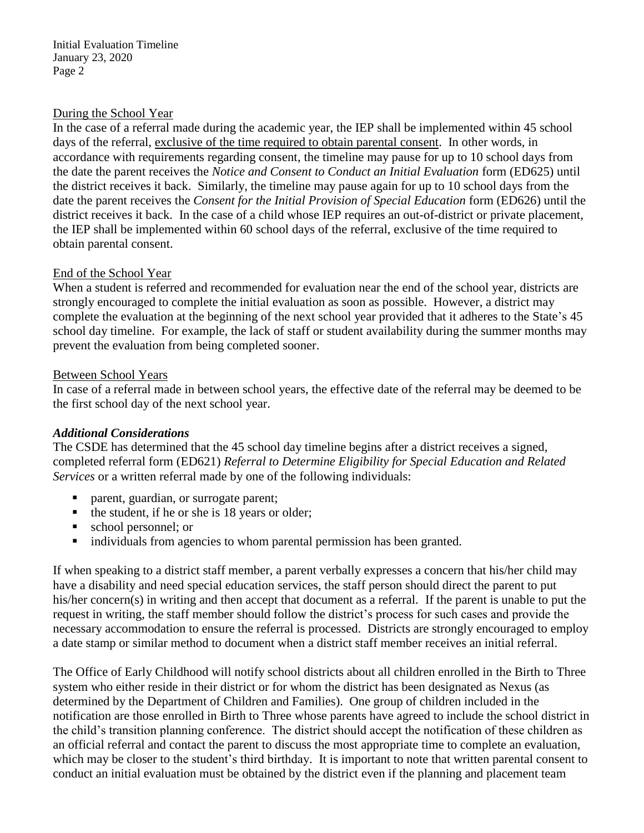#### During the School Year

 In the case of a referral made during the academic year, the IEP shall be implemented within 45 school days of the referral, exclusive of the time required to obtain parental consent. In other words, in district receives it back. In the case of a child whose IEP requires an out-of-district or private placement, accordance with requirements regarding consent, the timeline may pause for up to 10 school days from the date the parent receives the *Notice and Consent to Conduct an Initial Evaluation* form (ED625) until the district receives it back. Similarly, the timeline may pause again for up to 10 school days from the date the parent receives the *Consent for the Initial Provision of Special Education* form (ED626) until the the IEP shall be implemented within 60 school days of the referral, exclusive of the time required to obtain parental consent.

### End of the School Year

 When a student is referred and recommended for evaluation near the end of the school year, districts are strongly encouraged to complete the initial evaluation as soon as possible. However, a district may complete the evaluation at the beginning of the next school year provided that it adheres to the State's 45 school day timeline. For example, the lack of staff or student availability during the summer months may prevent the evaluation from being completed sooner.

#### **Between School Years**

In case of a referral made in between school years, the effective date of the referral may be deemed to be the first school day of the next school year.

# *Additional Considerations*

The CSDE has determined that the 45 school day timeline begins after a district receives a signed, completed referral form (ED621) *Referral to Determine Eligibility for Special Education and Related Services* or a written referral made by one of the following individuals:

- parent, guardian, or surrogate parent;
- $\blacksquare$  the student, if he or she is 18 years or older;
- school personnel; or
- $\blacksquare$  individuals from agencies to whom parental permission has been granted.

 If when speaking to a district staff member, a parent verbally expresses a concern that his/her child may necessary accommodation to ensure the referral is processed. Districts are strongly encouraged to employ have a disability and need special education services, the staff person should direct the parent to put his/her concern(s) in writing and then accept that document as a referral. If the parent is unable to put the request in writing, the staff member should follow the district's process for such cases and provide the a date stamp or similar method to document when a district staff member receives an initial referral.

 which may be closer to the student's third birthday. It is important to note that written parental consent to The Office of Early Childhood will notify school districts about all children enrolled in the Birth to Three system who either reside in their district or for whom the district has been designated as Nexus (as determined by the Department of Children and Families). One group of children included in the notification are those enrolled in Birth to Three whose parents have agreed to include the school district in the child's transition planning conference. The district should accept the notification of these children as an official referral and contact the parent to discuss the most appropriate time to complete an evaluation, conduct an initial evaluation must be obtained by the district even if the planning and placement team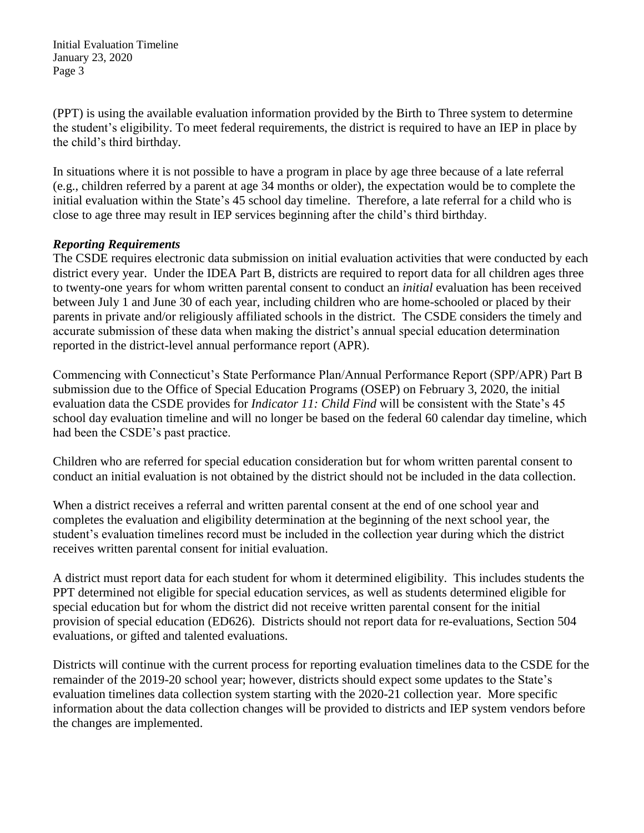Initial Evaluation Timeline January 23, 2020 Page 3

(PPT) is using the available evaluation information provided by the Birth to Three system to determine the student's eligibility. To meet federal requirements, the district is required to have an IEP in place by the child's third birthday.

 In situations where it is not possible to have a program in place by age three because of a late referral (e.g., children referred by a parent at age 34 months or older), the expectation would be to complete the initial evaluation within the State's 45 school day timeline. Therefore, a late referral for a child who is close to age three may result in IEP services beginning after the child's third birthday.

# *Reporting Requirements*

 parents in private and/or religiously affiliated schools in the district. The CSDE considers the timely and reported in the district-level annual performance report (APR). The CSDE requires electronic data submission on initial evaluation activities that were conducted by each district every year. Under the IDEA Part B, districts are required to report data for all children ages three to twenty-one years for whom written parental consent to conduct an *initial* evaluation has been received between July 1 and June 30 of each year, including children who are home-schooled or placed by their accurate submission of these data when making the district's annual special education determination

Commencing with Connecticut's State Performance Plan/Annual Performance Report (SPP/APR) Part B submission due to the Office of Special Education Programs (OSEP) on February 3, 2020, the initial evaluation data the CSDE provides for *Indicator 11: Child Find* will be consistent with the State's 45 school day evaluation timeline and will no longer be based on the federal 60 calendar day timeline, which had been the CSDE's past practice.

Children who are referred for special education consideration but for whom written parental consent to conduct an initial evaluation is not obtained by the district should not be included in the data collection.

When a district receives a referral and written parental consent at the end of one school year and completes the evaluation and eligibility determination at the beginning of the next school year, the student's evaluation timelines record must be included in the collection year during which the district receives written parental consent for initial evaluation.

 A district must report data for each student for whom it determined eligibility. This includes students the provision of special education (ED626). Districts should not report data for re-evaluations, Section 504 PPT determined not eligible for special education services, as well as students determined eligible for special education but for whom the district did not receive written parental consent for the initial evaluations, or gifted and talented evaluations.

Districts will continue with the current process for reporting evaluation timelines data to the CSDE for the remainder of the 2019-20 school year; however, districts should expect some updates to the State's evaluation timelines data collection system starting with the 2020-21 collection year. More specific information about the data collection changes will be provided to districts and IEP system vendors before the changes are implemented.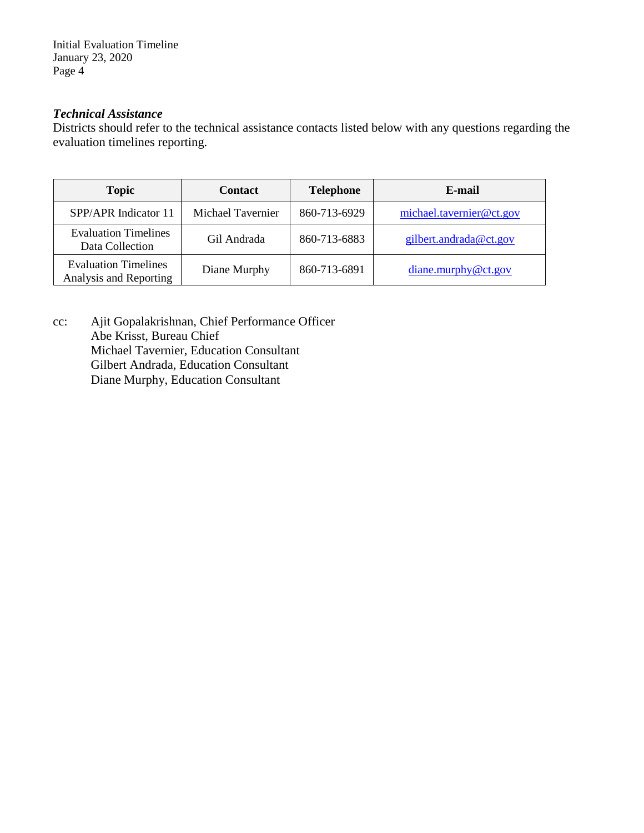Initial Evaluation Timeline January 23, 2020 Page 4

# *Technical Assistance*

Districts should refer to the technical assistance contacts listed below with any questions regarding the evaluation timelines reporting.

| <b>Topic</b>                                          | <b>Contact</b>    | <b>Telephone</b> | E-mail                   |
|-------------------------------------------------------|-------------------|------------------|--------------------------|
| SPP/APR Indicator 11                                  | Michael Tavernier | 860-713-6929     | michael.tavernier@ct.gov |
| <b>Evaluation Timelines</b><br>Data Collection        | Gil Andrada       | 860-713-6883     | gilbert.andrada@ct.gov   |
| <b>Evaluation Timelines</b><br>Analysis and Reporting | Diane Murphy      | 860-713-6891     | diane.murphy@ct.gov      |

cc: Ajit Gopalakrishnan, Chief Performance Officer Abe Krisst, Bureau Chief Michael Tavernier, Education Consultant Gilbert Andrada, Education Consultant Diane Murphy, Education Consultant